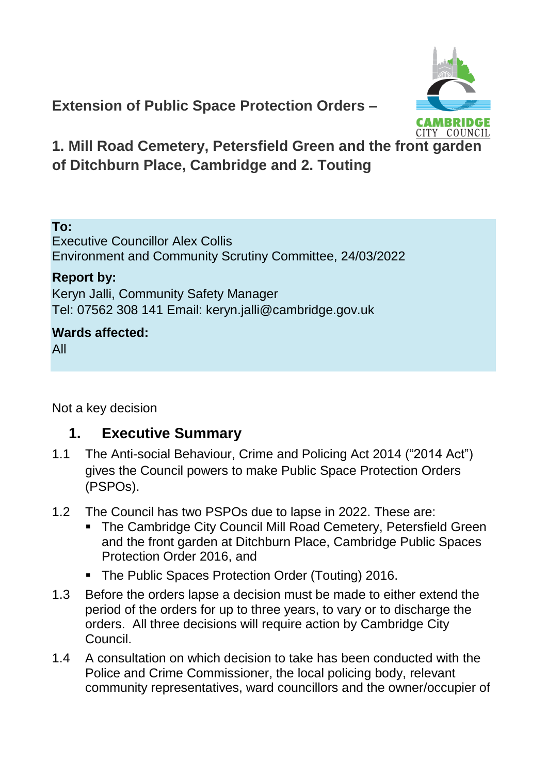

**Extension of Public Space Protection Orders –**

**1. Mill Road Cemetery, Petersfield Green and the front garden of Ditchburn Place, Cambridge and 2. Touting**

#### **To:**

Executive Councillor Alex Collis Environment and Community Scrutiny Committee, 24/03/2022

#### **Report by:**

Keryn Jalli, Community Safety Manager Tel: 07562 308 141 Email: keryn.jalli@cambridge.gov.uk

#### **Wards affected:**

All

Not a key decision

### **1. Executive Summary**

- 1.1 The Anti-social Behaviour, Crime and Policing Act 2014 ("2014 Act") gives the Council powers to make Public Space Protection Orders (PSPOs).
- 1.2 The Council has two PSPOs due to lapse in 2022. These are:
	- **The Cambridge City Council Mill Road Cemetery, Petersfield Green** and the front garden at Ditchburn Place, Cambridge Public Spaces Protection Order 2016, and
	- **The Public Spaces Protection Order (Touting) 2016.**
- 1.3 Before the orders lapse a decision must be made to either extend the period of the orders for up to three years, to vary or to discharge the orders. All three decisions will require action by Cambridge City Council.
- 1.4 A consultation on which decision to take has been conducted with the Police and Crime Commissioner, the local policing body, relevant community representatives, ward councillors and the owner/occupier of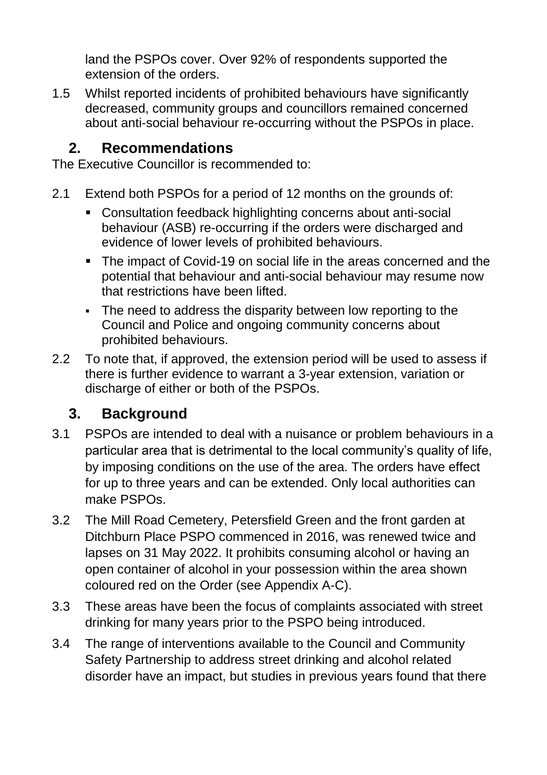land the PSPOs cover. Over 92% of respondents supported the extension of the orders.

1.5 Whilst reported incidents of prohibited behaviours have significantly decreased, community groups and councillors remained concerned about anti-social behaviour re-occurring without the PSPOs in place.

### **2. Recommendations**

The Executive Councillor is recommended to:

- 2.1 Extend both PSPOs for a period of 12 months on the grounds of:
	- Consultation feedback highlighting concerns about anti-social behaviour (ASB) re-occurring if the orders were discharged and evidence of lower levels of prohibited behaviours.
	- The impact of Covid-19 on social life in the areas concerned and the potential that behaviour and anti-social behaviour may resume now that restrictions have been lifted.
	- The need to address the disparity between low reporting to the Council and Police and ongoing community concerns about prohibited behaviours.
- 2.2 To note that, if approved, the extension period will be used to assess if there is further evidence to warrant a 3-year extension, variation or discharge of either or both of the PSPOs.

# **3. Background**

- 3.1 PSPOs are intended to deal with a nuisance or problem behaviours in a particular area that is detrimental to the local community's quality of life, by imposing conditions on the use of the area. The orders have effect for up to three years and can be extended. Only local authorities can make PSPOs.
- 3.2 The Mill Road Cemetery, Petersfield Green and the front garden at Ditchburn Place PSPO commenced in 2016, was renewed twice and lapses on 31 May 2022. It prohibits consuming alcohol or having an open container of alcohol in your possession within the area shown coloured red on the Order (see Appendix A-C).
- 3.3 These areas have been the focus of complaints associated with street drinking for many years prior to the PSPO being introduced.
- 3.4 The range of interventions available to the Council and Community Safety Partnership to address street drinking and alcohol related disorder have an impact, but studies in previous years found that there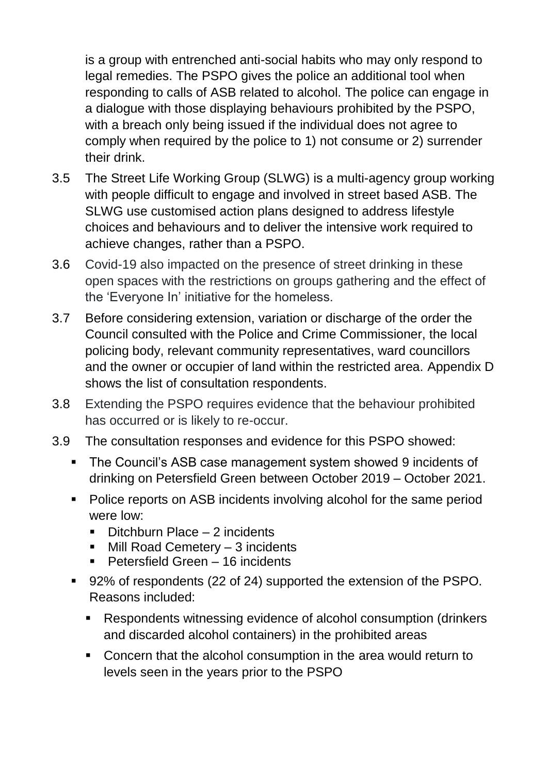is a group with entrenched anti-social habits who may only respond to legal remedies. The PSPO gives the police an additional tool when responding to calls of ASB related to alcohol. The police can engage in a dialogue with those displaying behaviours prohibited by the PSPO, with a breach only being issued if the individual does not agree to comply when required by the police to 1) not consume or 2) surrender their drink.

- 3.5 The Street Life Working Group (SLWG) is a multi-agency group working with people difficult to engage and involved in street based ASB. The SLWG use customised action plans designed to address lifestyle choices and behaviours and to deliver the intensive work required to achieve changes, rather than a PSPO.
- 3.6 Covid-19 also impacted on the presence of street drinking in these open spaces with the restrictions on groups gathering and the effect of the 'Everyone In' initiative for the homeless.
- 3.7 Before considering extension, variation or discharge of the order the Council consulted with the Police and Crime Commissioner, the local policing body, relevant community representatives, ward councillors and the owner or occupier of land within the restricted area. Appendix D shows the list of consultation respondents.
- 3.8 Extending the PSPO requires evidence that the behaviour prohibited has occurred or is likely to re-occur.
- 3.9 The consultation responses and evidence for this PSPO showed:
	- The Council's ASB case management system showed 9 incidents of drinking on Petersfield Green between October 2019 – October 2021.
	- Police reports on ASB incidents involving alcohol for the same period were low:
		- Ditchburn Place 2 incidents
		- Mill Road Cemetery 3 incidents
		- Petersfield Green 16 incidents
	- 92% of respondents (22 of 24) supported the extension of the PSPO. Reasons included:
		- Respondents witnessing evidence of alcohol consumption (drinkers and discarded alcohol containers) in the prohibited areas
		- Concern that the alcohol consumption in the area would return to levels seen in the years prior to the PSPO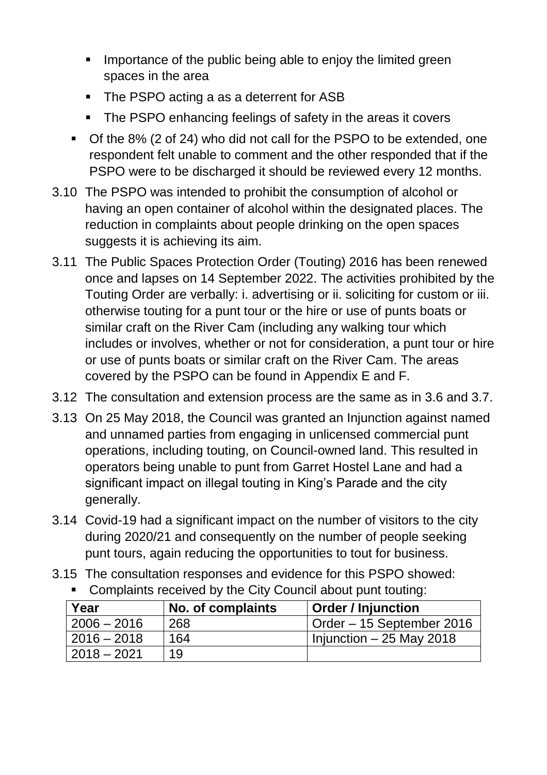- **IMPORTANCE OF the public being able to enjoy the limited green** spaces in the area
- The PSPO acting a as a deterrent for ASB
- The PSPO enhancing feelings of safety in the areas it covers
- Of the 8% (2 of 24) who did not call for the PSPO to be extended, one respondent felt unable to comment and the other responded that if the PSPO were to be discharged it should be reviewed every 12 months.
- 3.10 The PSPO was intended to prohibit the consumption of alcohol or having an open container of alcohol within the designated places. The reduction in complaints about people drinking on the open spaces suggests it is achieving its aim.
- 3.11 The Public Spaces Protection Order (Touting) 2016 has been renewed once and lapses on 14 September 2022. The activities prohibited by the Touting Order are verbally: i. advertising or ii. soliciting for custom or iii. otherwise touting for a punt tour or the hire or use of punts boats or similar craft on the River Cam (including any walking tour which includes or involves, whether or not for consideration, a punt tour or hire or use of punts boats or similar craft on the River Cam. The areas covered by the PSPO can be found in Appendix E and F.
- 3.12 The consultation and extension process are the same as in 3.6 and 3.7.
- 3.13 On 25 May 2018, the Council was granted an Injunction against named and unnamed parties from engaging in unlicensed commercial punt operations, including touting, on Council-owned land. This resulted in operators being unable to punt from Garret Hostel Lane and had a significant impact on illegal touting in King's Parade and the city generally.
- 3.14 Covid-19 had a significant impact on the number of visitors to the city during 2020/21 and consequently on the number of people seeking punt tours, again reducing the opportunities to tout for business.
- 3.15 The consultation responses and evidence for this PSPO showed:

| Year          | No. of complaints | <b>Order / Injunction</b> |
|---------------|-------------------|---------------------------|
| $2006 - 2016$ | 268               | Order – 15 September 2016 |
| $2016 - 2018$ | 164               | Injunction $-25$ May 2018 |
| $2018 - 2021$ | 1Q                |                           |

Complaints received by the City Council about punt touting: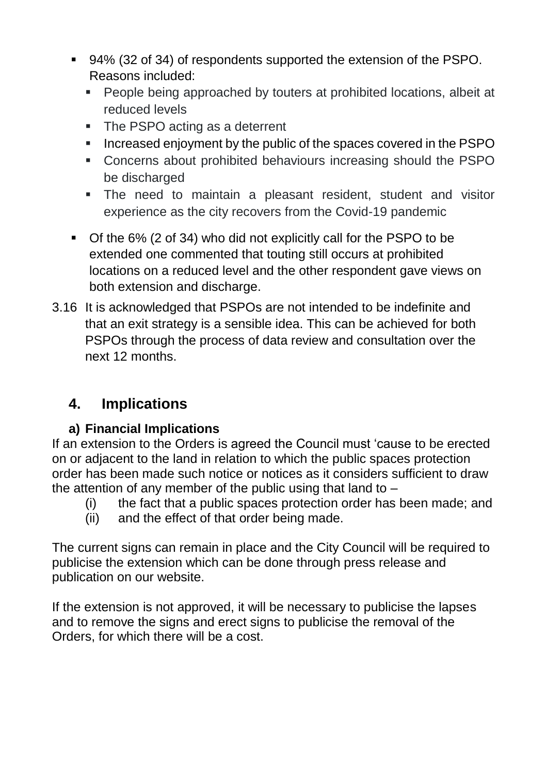- 94% (32 of 34) of respondents supported the extension of the PSPO. Reasons included:
	- **People being approached by touters at prohibited locations, albeit at** reduced levels
	- The PSPO acting as a deterrent
	- Increased enjoyment by the public of the spaces covered in the PSPO
	- Concerns about prohibited behaviours increasing should the PSPO be discharged
	- The need to maintain a pleasant resident, student and visitor experience as the city recovers from the Covid-19 pandemic
- Of the 6% (2 of 34) who did not explicitly call for the PSPO to be extended one commented that touting still occurs at prohibited locations on a reduced level and the other respondent gave views on both extension and discharge.
- 3.16 It is acknowledged that PSPOs are not intended to be indefinite and that an exit strategy is a sensible idea. This can be achieved for both PSPOs through the process of data review and consultation over the next 12 months.

# **4. Implications**

### **a) Financial Implications**

If an extension to the Orders is agreed the Council must 'cause to be erected on or adjacent to the land in relation to which the public spaces protection order has been made such notice or notices as it considers sufficient to draw the attention of any member of the public using that land to –

- (i) the fact that a public spaces protection order has been made; and
- (ii) and the effect of that order being made.

The current signs can remain in place and the City Council will be required to publicise the extension which can be done through press release and publication on our website.

If the extension is not approved, it will be necessary to publicise the lapses and to remove the signs and erect signs to publicise the removal of the Orders, for which there will be a cost.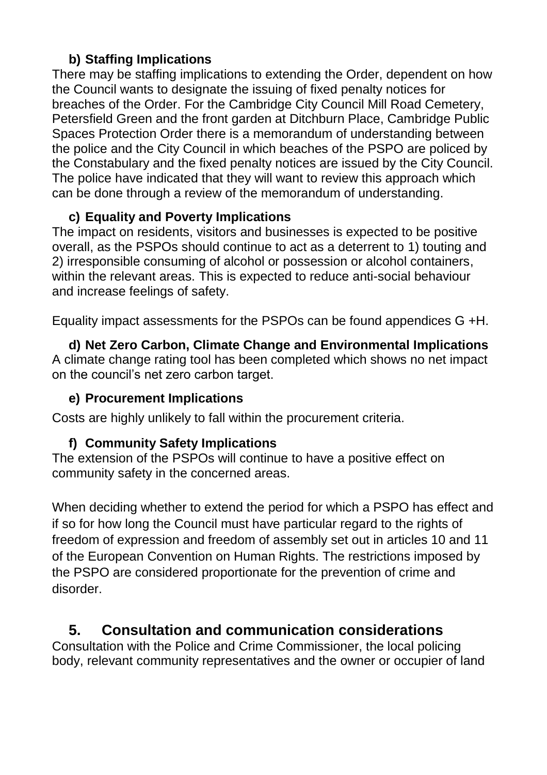### **b) Staffing Implications**

There may be staffing implications to extending the Order, dependent on how the Council wants to designate the issuing of fixed penalty notices for breaches of the Order. For the Cambridge City Council Mill Road Cemetery, Petersfield Green and the front garden at Ditchburn Place, Cambridge Public Spaces Protection Order there is a memorandum of understanding between the police and the City Council in which beaches of the PSPO are policed by the Constabulary and the fixed penalty notices are issued by the City Council. The police have indicated that they will want to review this approach which can be done through a review of the memorandum of understanding.

### **c) Equality and Poverty Implications**

The impact on residents, visitors and businesses is expected to be positive overall, as the PSPOs should continue to act as a deterrent to 1) touting and 2) irresponsible consuming of alcohol or possession or alcohol containers, within the relevant areas. This is expected to reduce anti-social behaviour and increase feelings of safety.

Equality impact assessments for the PSPOs can be found appendices G +H.

**d) Net Zero Carbon, Climate Change and Environmental Implications** A climate change rating tool has been completed which shows no net impact on the council's net zero carbon target.

### **e) Procurement Implications**

Costs are highly unlikely to fall within the procurement criteria.

### **f) Community Safety Implications**

The extension of the PSPOs will continue to have a positive effect on community safety in the concerned areas.

When deciding whether to extend the period for which a PSPO has effect and if so for how long the Council must have particular regard to the rights of freedom of expression and freedom of assembly set out in articles 10 and 11 of the European Convention on Human Rights. The restrictions imposed by the PSPO are considered proportionate for the prevention of crime and disorder.

### **5. Consultation and communication considerations**

Consultation with the Police and Crime Commissioner, the local policing body, relevant community representatives and the owner or occupier of land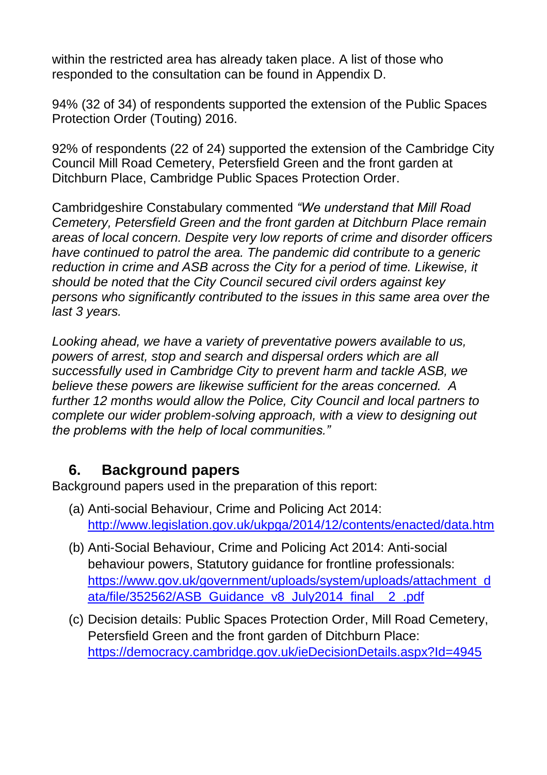within the restricted area has already taken place. A list of those who responded to the consultation can be found in Appendix D.

94% (32 of 34) of respondents supported the extension of the Public Spaces Protection Order (Touting) 2016.

92% of respondents (22 of 24) supported the extension of the Cambridge City Council Mill Road Cemetery, Petersfield Green and the front garden at Ditchburn Place, Cambridge Public Spaces Protection Order.

Cambridgeshire Constabulary commented *"We understand that Mill Road Cemetery, Petersfield Green and the front garden at Ditchburn Place remain areas of local concern. Despite very low reports of crime and disorder officers have continued to patrol the area. The pandemic did contribute to a generic reduction in crime and ASB across the City for a period of time. Likewise, it should be noted that the City Council secured civil orders against key persons who significantly contributed to the issues in this same area over the last 3 years.*

*Looking ahead, we have a variety of preventative powers available to us, powers of arrest, stop and search and dispersal orders which are all successfully used in Cambridge City to prevent harm and tackle ASB, we believe these powers are likewise sufficient for the areas concerned. A further 12 months would allow the Police, City Council and local partners to complete our wider problem-solving approach, with a view to designing out the problems with the help of local communities."*

### **6. Background papers**

Background papers used in the preparation of this report:

- (a) Anti-social Behaviour, Crime and Policing Act 2014: <http://www.legislation.gov.uk/ukpga/2014/12/contents/enacted/data.htm>
- (b) Anti-Social Behaviour, Crime and Policing Act 2014: Anti-social behaviour powers, Statutory guidance for frontline professionals: [https://www.gov.uk/government/uploads/system/uploads/attachment\\_d](https://www.gov.uk/government/uploads/system/uploads/attachment_data/file/352562/ASB_Guidance_v8_July2014_final__2_.pdf) [ata/file/352562/ASB\\_Guidance\\_v8\\_July2014\\_final\\_\\_2\\_.pdf](https://www.gov.uk/government/uploads/system/uploads/attachment_data/file/352562/ASB_Guidance_v8_July2014_final__2_.pdf)
- (c) Decision details: Public Spaces Protection Order, Mill Road Cemetery, Petersfield Green and the front garden of Ditchburn Place: <https://democracy.cambridge.gov.uk/ieDecisionDetails.aspx?Id=4945>